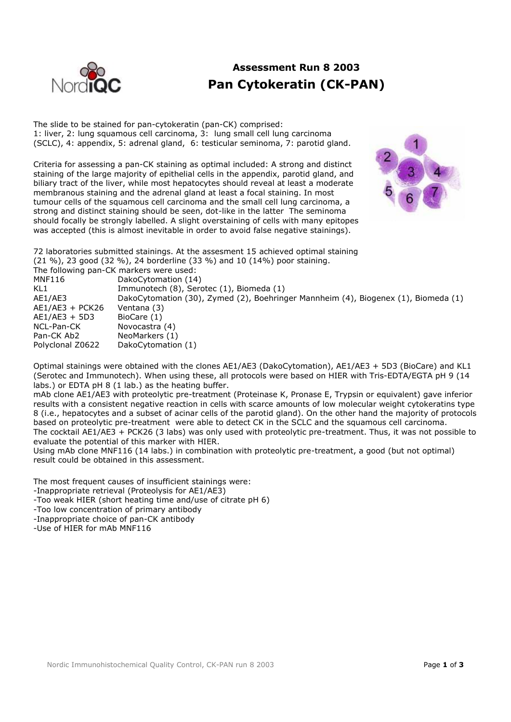

# **Assessment Run 8 2003 Pan Cytokeratin (CK-PAN)**

The slide to be stained for pan-cytokeratin (pan-CK) comprised: 1: liver, 2: lung squamous cell carcinoma, 3: lung small cell lung carcinoma (SCLC), 4: appendix, 5: adrenal gland, 6: testicular seminoma, 7: parotid gland.

Criteria for assessing a pan-CK staining as optimal included: A strong and distinct staining of the large majority of epithelial cells in the appendix, parotid gland, and biliary tract of the liver, while most hepatocytes should reveal at least a moderate membranous staining and the adrenal gland at least a focal staining. In most tumour cells of the squamous cell carcinoma and the small cell lung carcinoma, a strong and distinct staining should be seen, dot-like in the latter The seminoma should focally be strongly labelled. A slight overstaining of cells with many epitopes was accepted (this is almost inevitable in order to avoid false negative stainings).



72 laboratories submitted stainings. At the assesment 15 achieved optimal staining (21 %), 23 good (32 %), 24 borderline (33 %) and 10 (14%) poor staining. The following pan-CK markers were used:

MNF116 DakoCytomation (14) KL1 Immunotech (8), Serotec (1), Biomeda (1) AE1/AE3 DakoCytomation (30), Zymed (2), Boehringer Mannheim (4), Biogenex (1), Biomeda (1) AE1/AE3 + PCK26 Ventana (3)  $AE1/AE3 + 5D3$  BioCare (1) NCL-Pan-CK Novocastra (4) Pan-CK Ab2 NeoMarkers (1) Polyclonal Z0622 DakoCytomation (1)

Optimal stainings were obtained with the clones AE1/AE3 (DakoCytomation), AE1/AE3 + 5D3 (BioCare) and KL1 (Serotec and Immunotech). When using these, all protocols were based on HIER with Tris-EDTA/EGTA pH 9 (14 labs.) or EDTA pH 8 (1 lab.) as the heating buffer.

mAb clone AE1/AE3 with proteolytic pre-treatment (Proteinase K, Pronase E, Trypsin or equivalent) gave inferior results with a consistent negative reaction in cells with scarce amounts of low molecular weight cytokeratins type 8 (i.e., hepatocytes and a subset of acinar cells of the parotid gland). On the other hand the majority of protocols based on proteolytic pre-treatment were able to detect CK in the SCLC and the squamous cell carcinoma. The cocktail AE1/AE3 + PCK26 (3 labs) was only used with proteolytic pre-treatment. Thus, it was not possible to evaluate the potential of this marker with HIER.

Using mAb clone MNF116 (14 labs.) in combination with proteolytic pre-treatment, a good (but not optimal) result could be obtained in this assessment.

The most frequent causes of insufficient stainings were:

-Inappropriate retrieval (Proteolysis for AE1/AE3)

-Too weak HIER (short heating time and/use of citrate pH 6)

-Too low concentration of primary antibody

-Inappropriate choice of pan-CK antibody

-Use of HIER for mAb MNF116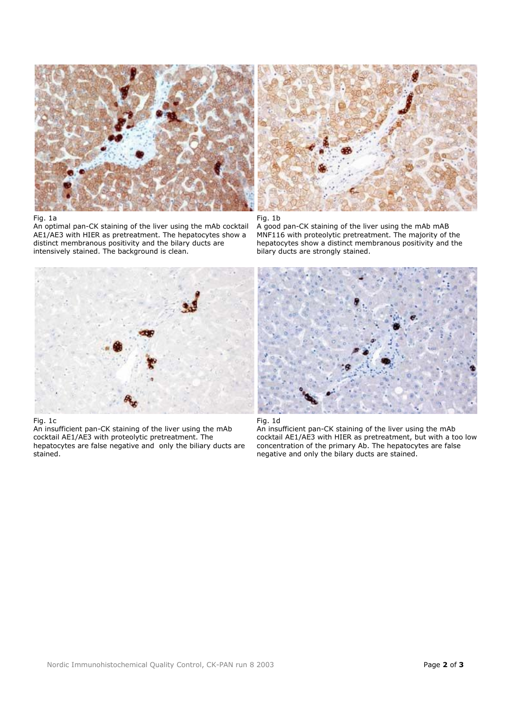

### Fig. 1a

An optimal pan-CK staining of the liver using the mAb cocktail AE1/AE3 with HIER as pretreatment. The hepatocytes show a distinct membranous positivity and the bilary ducts are intensively stained. The background is clean.



Fig. 1b

A good pan-CK staining of the liver using the mAb mAB MNF116 with proteolytic pretreatment. The majority of the hepatocytes show a distinct membranous positivity and the bilary ducts are strongly stained.



#### Fig. 1c

An insufficient pan-CK staining of the liver using the mAb cocktail AE1/AE3 with proteolytic pretreatment. The hepatocytes are false negative and only the biliary ducts are stained.





An insufficient pan-CK staining of the liver using the mAb cocktail AE1/AE3 with HIER as pretreatment, but with a too low concentration of the primary Ab. The hepatocytes are false negative and only the bilary ducts are stained.